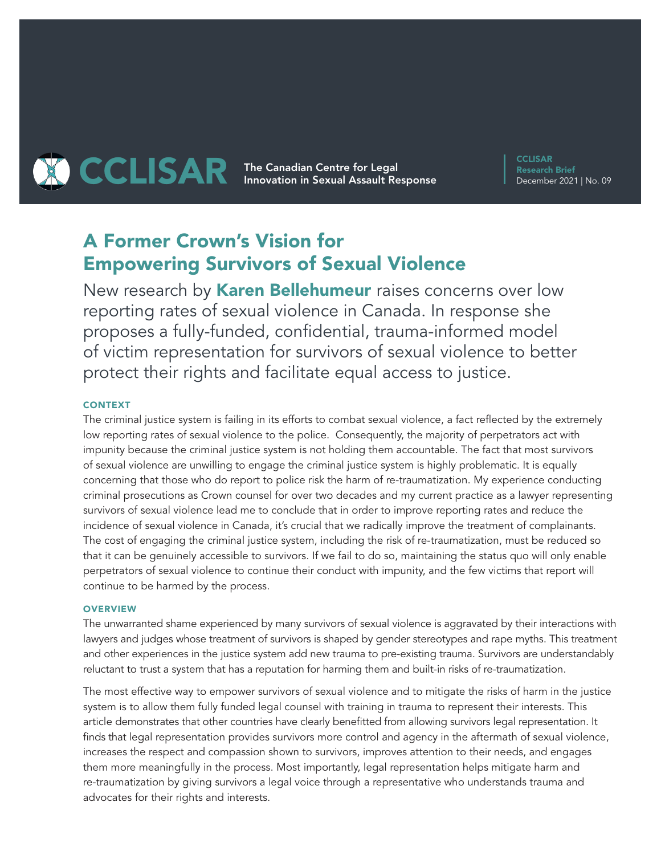# **THE COLISAR The Canadian Centre for Legal CCLISAR** Innovation in Sexual Assault Response

**CCLISAR** Research Brief December 2021 | No. 09

# A Former Crown's Vision for Empowering Survivors of Sexual Violence

New research by **Karen Bellehumeur** raises concerns over low reporting rates of sexual violence in Canada. In response she proposes a fully-funded, confidential, trauma-informed model of victim representation for survivors of sexual violence to better protect their rights and facilitate equal access to justice.

## **CONTEXT**

The criminal justice system is failing in its efforts to combat sexual violence, a fact reflected by the extremely low reporting rates of sexual violence to the police. Consequently, the majority of perpetrators act with impunity because the criminal justice system is not holding them accountable. The fact that most survivors of sexual violence are unwilling to engage the criminal justice system is highly problematic. It is equally concerning that those who do report to police risk the harm of re-traumatization. My experience conducting criminal prosecutions as Crown counsel for over two decades and my current practice as a lawyer representing survivors of sexual violence lead me to conclude that in order to improve reporting rates and reduce the incidence of sexual violence in Canada, it's crucial that we radically improve the treatment of complainants. The cost of engaging the criminal justice system, including the risk of re-traumatization, must be reduced so that it can be genuinely accessible to survivors. If we fail to do so, maintaining the status quo will only enable perpetrators of sexual violence to continue their conduct with impunity, and the few victims that report will continue to be harmed by the process.

### **OVERVIEW**

The unwarranted shame experienced by many survivors of sexual violence is aggravated by their interactions with lawyers and judges whose treatment of survivors is shaped by gender stereotypes and rape myths. This treatment and other experiences in the justice system add new trauma to pre-existing trauma. Survivors are understandably reluctant to trust a system that has a reputation for harming them and built-in risks of re-traumatization.

The most effective way to empower survivors of sexual violence and to mitigate the risks of harm in the justice system is to allow them fully funded legal counsel with training in trauma to represent their interests. This article demonstrates that other countries have clearly benefitted from allowing survivors legal representation. It finds that legal representation provides survivors more control and agency in the aftermath of sexual violence, increases the respect and compassion shown to survivors, improves attention to their needs, and engages them more meaningfully in the process. Most importantly, legal representation helps mitigate harm and re-traumatization by giving survivors a legal voice through a representative who understands trauma and advocates for their rights and interests.